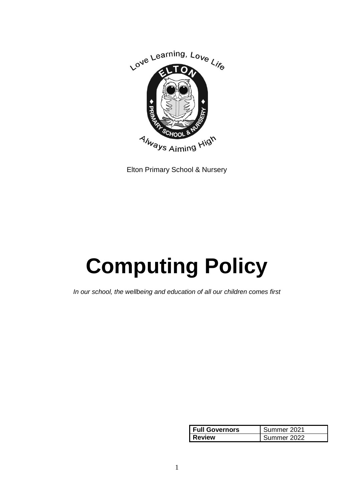

Elton Primary School & Nursery

# **Computing Policy**

*In our school, the wellbeing and education of all our children comes first*

| <b>Full Governors</b> | Summer 2021 |
|-----------------------|-------------|
| <b>Review</b>         | Summer 2022 |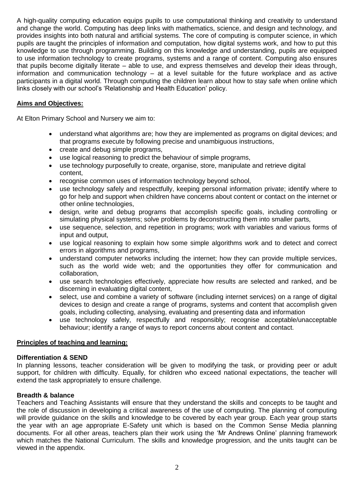A high-quality computing education equips pupils to use computational thinking and creativity to understand and change the world. Computing has deep links with mathematics, science, and design and technology, and provides insights into both natural and artificial systems. The core of computing is computer science, in which pupils are taught the principles of information and computation, how digital systems work, and how to put this knowledge to use through programming. Building on this knowledge and understanding, pupils are equipped to use information technology to create programs, systems and a range of content. Computing also ensures that pupils become digitally literate – able to use, and express themselves and develop their ideas through, information and communication technology – at a level suitable for the future workplace and as active participants in a digital world. Through computing the children learn about how to stay safe when online which links closely with our school's 'Relationship and Health Education' policy.

## **Aims and Objectives:**

At Elton Primary School and Nursery we aim to:

- understand what algorithms are; how they are implemented as programs on digital devices; and that programs execute by following precise and unambiguous instructions,
- create and debug simple programs,
- use logical reasoning to predict the behaviour of simple programs,
- use technology purposefully to create, organise, store, manipulate and retrieve digital content,
- recognise common uses of information technology beyond school,
- use technology safely and respectfully, keeping personal information private; identify where to go for help and support when children have concerns about content or contact on the internet or other online technologies,
- design, write and debug programs that accomplish specific goals, including controlling or simulating physical systems; solve problems by deconstructing them into smaller parts,
- use sequence, selection, and repetition in programs; work with variables and various forms of input and output,
- use logical reasoning to explain how some simple algorithms work and to detect and correct errors in algorithms and programs,
- understand computer networks including the internet; how they can provide multiple services, such as the world wide web; and the opportunities they offer for communication and collaboration,
- use search technologies effectively, appreciate how results are selected and ranked, and be discerning in evaluating digital content,
- select, use and combine a variety of software (including internet services) on a range of digital devices to design and create a range of programs, systems and content that accomplish given goals, including collecting, analysing, evaluating and presenting data and information
- use technology safely, respectfully and responsibly; recognise acceptable/unacceptable behaviour; identify a range of ways to report concerns about content and contact.

## **Principles of teaching and learning:**

## **Differentiation & SEND**

In planning lessons, teacher consideration will be given to modifying the task, or providing peer or adult support, for children with difficulty. Equally, for children who exceed national expectations, the teacher will extend the task appropriately to ensure challenge.

## **Breadth & balance**

Teachers and Teaching Assistants will ensure that they understand the skills and concepts to be taught and the role of discussion in developing a critical awareness of the use of computing. The planning of computing will provide guidance on the skills and knowledge to be covered by each year group. Each year group starts the year with an age appropriate E-Safety unit which is based on the Common Sense Media planning documents. For all other areas, teachers plan their work using the 'Mr Andrews Online' planning framework which matches the National Curriculum. The skills and knowledge progression, and the units taught can be viewed in the appendix.